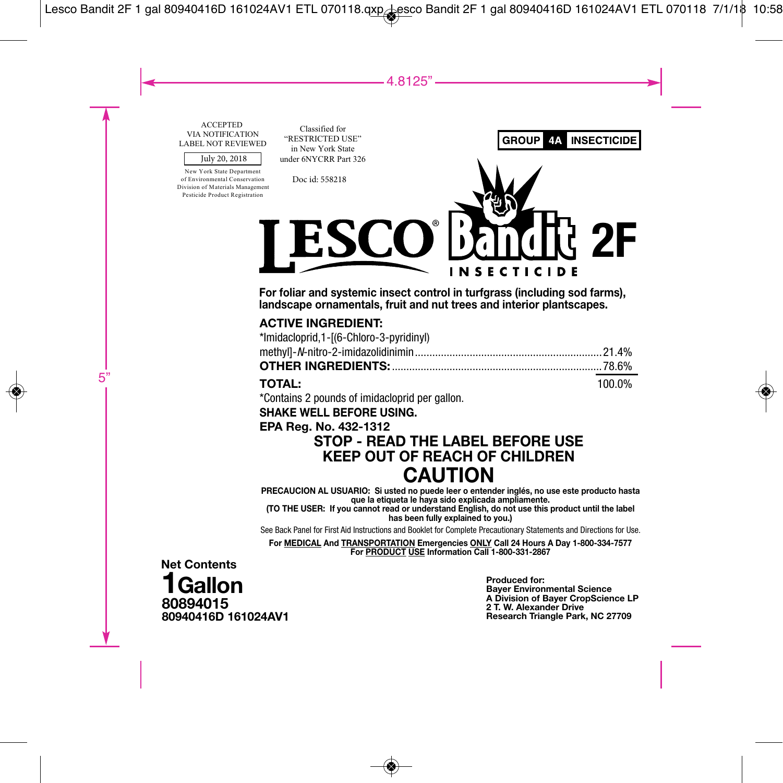#### ACCEPTED VIA NOTIFICATION LABEL NOT REVIEWED

#### July 20, 2018

New York State Department of Environmental Conservation Division of Materials Management Pesticide Product Registration

Classified for "RESTRICTED USE" in New York State under 6NYCRR Part 326

Doc id: 558218

SC (O **2F**

**NSECTIC** 

**GROUP** 

4Α

**INSECTICIDE** 

**For foliar and systemic insect control in turfgrass (including sod farms), landscape ornamentals, fruit and nut trees and interior plantscapes.**

### **ACTIVE INGREDIENT:**

| *Imidacloprid,1-[(6-Chloro-3-pyridinyl) |  |
|-----------------------------------------|--|
|                                         |  |
|                                         |  |
|                                         |  |

### **TOTAL:** 100.0%

\*Contains 2 pounds of imidacloprid per gallon.

**SHAKE WELL BEFORE USING.**

### **EPA Reg. No. 432-1312**

### **STOP - READ THE LABEL BEFORE USE KEEP OUT OF REACH OF CHILDREN CAUTION**

**PRECAUCION AL USUARIO: Si usted no puede leer o entender inglés, no use este producto hasta que la etiqueta le haya sido explicada ampliamente.**

**(TO THE USER: If you cannot read or understand English, do not use this product until the label has been fully explained to you.)**

See Back Panel for First Aid Instructions and Booklet for Complete Precautionary Statements and Directions for Use.

**For MEDICAL And TRANSPORTATION Emergencies ONLY Call 24 Hours A Day 1-800-334-7577 For PRODUCT USE Information Call 1-800-331-2867**

**80894015 80940416D 161024AV1 Net Contents 1Gallon**

**Produced for: Bayer Environmental Science A Division of Bayer CropScience LP 2 T. W. Alexander Drive Research Triangle Park, NC 27709**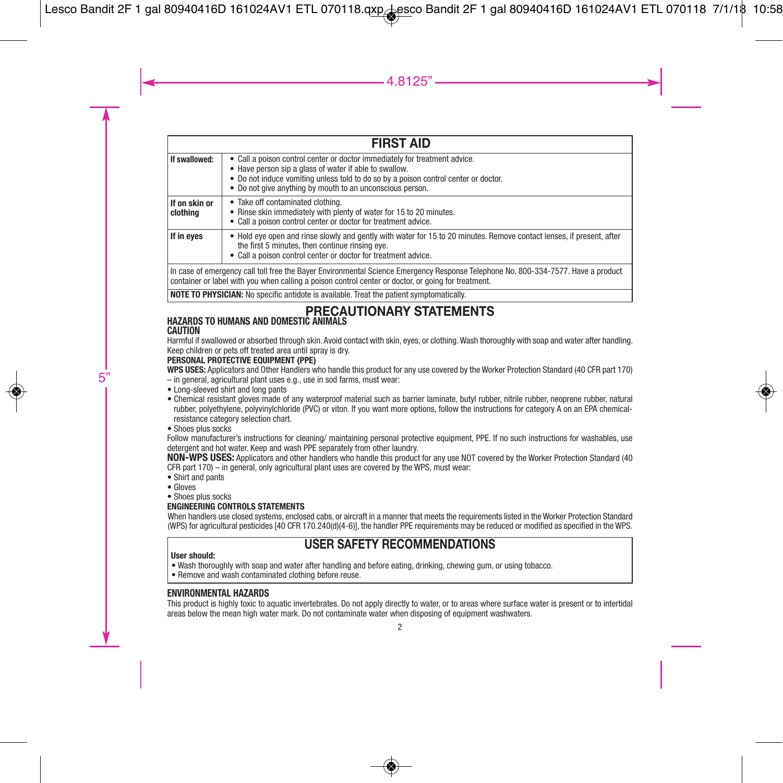| <b>FIRST AID</b>          |                                                                                                                                                                                                                                                                                        |  |  |  |
|---------------------------|----------------------------------------------------------------------------------------------------------------------------------------------------------------------------------------------------------------------------------------------------------------------------------------|--|--|--|
| If swallowed:             | Call a poison control center or doctor immediately for treatment advice.<br>• Have person sip a glass of water if able to swallow.<br>• Do not induce vomiting unless told to do so by a poison control center or doctor.<br>• Do not give anything by mouth to an unconscious person. |  |  |  |
| If on skin or<br>clothina | • Take off contaminated clothing.<br>Rinse skin immediately with plenty of water for 15 to 20 minutes.<br>٠<br>• Call a poison control center or doctor for treatment advice.                                                                                                          |  |  |  |
| If in eves                | • Hold eye open and rinse slowly and gently with water for 15 to 20 minutes. Remove contact lenses, if present, after<br>the first 5 minutes, then continue rinsing eye.<br>• Call a poison control center or doctor for treatment advice.                                             |  |  |  |
|                           | In case of emergency call toll free the Bayer Environmental Science Emergency Response Telephone No. 800-334-7577. Have a product                                                                                                                                                      |  |  |  |

In case of emergency call toll free the Bayer Environmental Science Emergency Response Telephone No. 800-334-7577. Have a product<br>container or label with you when calling a poison control center or doctor, or going for tre

**NOTE TO PHYSICIAN:** No specific antidote is available. Treat the patient symptomatically.

#### **PRECAUTIONARY STATEMENTS HAZARDS TO HUMANS AND DOMESTIC ANIMALS**

### **CAUTION**

Harmful if swallowed or absorbed through skin. Avoid contact with skin, eyes, or clothing.Wash thoroughly with soap and water after handling. Keep children or pets off treated area until spray is dry.

### **PERSONAL PROTECTIVE EQUIPMENT (PPE)**

**WPS USES:** Applicators and Other Handlers who handle this product for any use covered by the Worker Protection Standard (40 CFR part 170)

- in general, agricultural plant uses e.g., use in sod farms, must wear:
- Long-sleeved shirt and long pants
- Chemical resistant gloves made of any waterproof material such as barrier laminate, butyl rubber, nitrile rubber, neoprene rubber, natural rubber, polyethylene, polyvinylchloride (PVC) or viton. If you want more options, follow the instructions for category A on an EPA chemicalresistance category selection chart.
- Shoes plus socks

Follow manufacturer's instructions for cleaning/ maintaining personal protective equipment, PPE. If no such instructions for washables, use detergent and hot water. Keep and wash PPE separately from other laundry.

**NON-WPS USES:** Applicators and other handlers who handle this product for any use NOT covered by the Worker Protection Standard (40 CFR part 170) – in general, only agricultural plant uses are covered by the WPS, must wear:

- Shirt and pants
- Gloves
- Shoes plus socks

### **ENGINEERING CONTROLS STATEMENTS**

When handlers use closed systems, enclosed cabs, or aircraft in a manner that meets the requirements listed in the Worker Protection Standard (WPS) for agricultural pesticides [40 CFR 170.240(d)(4-6)], the handler PPE requirements may be reduced or modified as specified in the WPS.

### **USER SAFETY RECOMMENDATIONS**

#### **User should:**

- Wash thoroughly with soap and water after handling and before eating, drinking, chewing gum, or using tobacco.
- Remove and wash contaminated clothing before reuse.

### **ENVIRONMENTAL HAZARDS**

This product is highly toxic to aquatic invertebrates. Do not apply directly to water, or to areas where surface water is present or to intertidal areas below the mean high water mark. Do not contaminate water when disposing of equipment washwaters.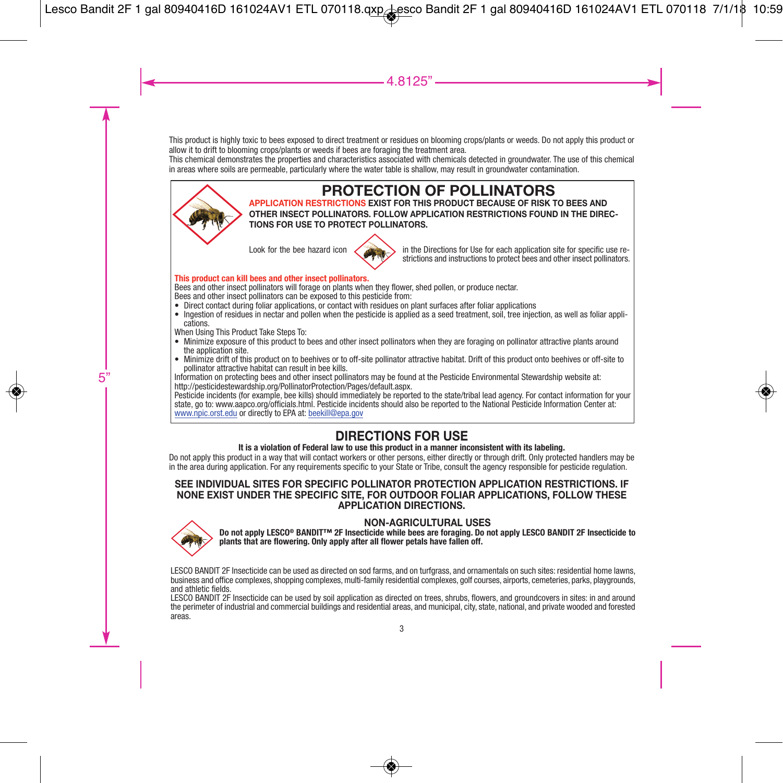This product is highly toxic to bees exposed to direct treatment or residues on blooming crops/plants or weeds. Do not apply this product or allow it to drift to blooming crops/plants or weeds if bees are foraging the treatment area.

This chemical demonstrates the properties and characteristics associated with chemicals detected in groundwater. The use of this chemical in areas where soils are permeable, particularly where the water table is shallow, may result in groundwater contamination.



## **PROTECTION OF POLLINATORS**

**APPLICATION RESTRICTIONS EXIST FOR THIS PRODUCT BECAUSE OF RISK TO BEES AND OTHER INSECT POLLINATORS. FOLLOW APPLICATION RESTRICTIONS FOUND IN THE DIREC-TIONS FOR USE TO PROTECT POLLINATORS.**



Look for the bee hazard icon in the Directions for Use for each application site for specific use restrictions and instructions to protect bees and other insect pollinators.

#### **This product can kill bees and other insect pollinators.**

Bees and other insect pollinators will forage on plants when they flower, shed pollen, or produce nectar. Bees and other insect pollinators can be exposed to this pesticide from:

- Direct contact during foliar applications, or contact with residues on plant surfaces after foliar applications
- Ingestion of residues in nectar and pollen when the pesticide is applied as a seed treatment, soil, tree injection, as well as foliar applications.

When Using This Product Take Steps To:

- Minimize exposure of this product to bees and other insect pollinators when they are foraging on pollinator attractive plants around the application site.<br>● Minimize drift of this product on to beehives or to off-site pollinator attractive habitat. Drift of this product onto beehives or off-site to
- 

pollinator attractive habitat can result in bee kills.<br>Information on protecting bees and other insect pollinators may be found at the Pesticide Environmental Stewardship website at:<br>Intro//pesticidestewardship.org/Pollina

www.npic.orst.edu or directly to EPA at: beekill@epa.gov

### **DIRECTIONS FOR USE**

### **It is a violation of Federal law to use this product in a manner inconsistent with its labeling.**

Do not apply this product in a way that will contact workers or other persons, either directly or through drift. Only protected handlers may be in the area during application. For any requirements specific to your State or Tribe, consult the agency responsible for pesticide regulation.

### **SEE INDIVIDUAL SITES FOR SPECIFIC POLLINATOR PROTECTION APPLICATION RESTRICTIONS. IF NONE EXIST UNDER THE SPECIFIC SITE, FOR OUTDOOR FOLIAR APPLICATIONS, FOLLOW THESE APPLICATION DIRECTIONS.**



NON-AGRICULTURAL USES<br>Do not apply LESCO® BANDIT™ 2F Insecticide while bees are foraging. Do not apply LESCO BANDIT 2F Insecticide to<br>plants that are flowering. Only apply after all flower petals have fallen off.

LESCO BANDIT 2F Insecticide can be used as directed on sod farms, and on turfgrass, and ornamentals on such sites: residential home lawns, business and office complexes, phopping complexes, multi-family residential complex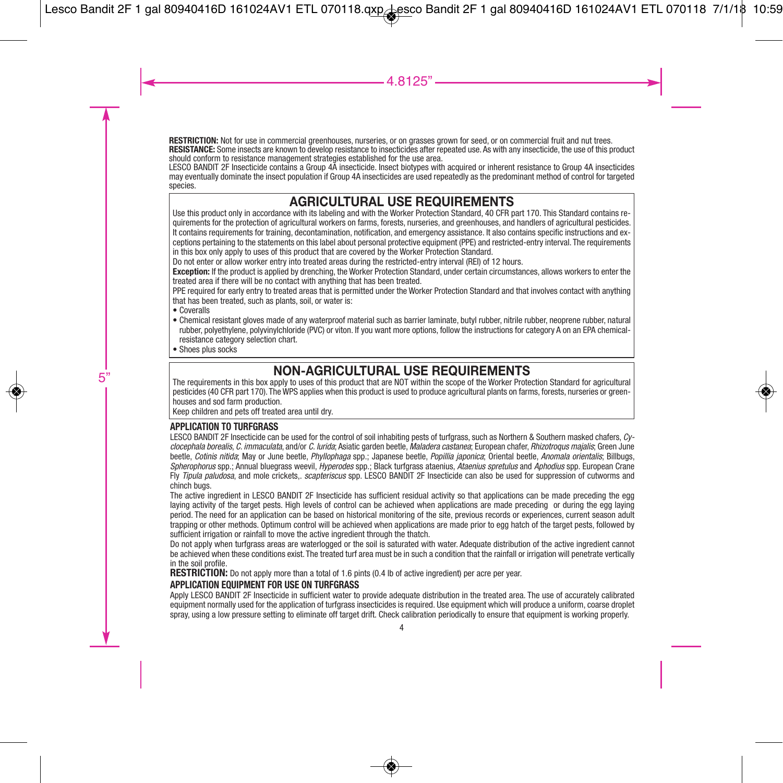**RESTRICTION:** Not for use in commercial greenhouses, nurseries, or on grasses grown for seed, or on commercial fruit and nut trees.

**RESISTANCE:** Some insects are known to develop resistance to insecticides after repeated use. As with any insecticide, the use of this product should conform to resistance management strategies established for the use area.

LESCO BANDIT 2F Insecticide contains a Group 4A insecticide. Insect biotypes with acquired or inherent resistance to Group 4A insecticides may eventually dominate the insect population if Group 4A insecticides are used repeatedly as the predominant method of control for targeted species.

### **AGRICULTURAL USE REQUIREMENTS**

Use this product only in accordance with its labeling and with the Worker Protection Standard, 40 CFR part 170. This Standard contains requirements for the protection of agricultural workers on farms, forests, nurseries, and greenhouses, and handlers of agricultural pesticides. It contains requirements for training, decontamination, notification, and emergency assistance. It also contains specific instructions and exceptions pertaining to the statements on this label about personal protective equipment (PPE) and restricted-entry interval. The requirements in this box only apply to uses of this product that are covered by the Worker Protection Standard.

Do not enter or allow worker entry into treated areas during the restricted-entry interval (REI) of 12 hours.

**Exception:** If the product is applied by drenching, the Worker Protection Standard, under certain circumstances, allows workers to enter the treated area if there will be no contact with anything that has been treated.

PPE required for early entry to treated areas that is permitted under the Worker Protection Standard and that involves contact with anything that has been treated, such as plants, soil, or water is:

- Coveralls
- Chemical resistant gloves made of any waterproof material such as barrier laminate, butyl rubber, nitrile rubber, neoprene rubber, natural rubber, polyethylene, polyvinylchloride (PVC) or viton. If you want more options, follow the instructions for category A on an EPA chemicalresistance category selection chart.
- Shoes plus socks

### **NON-AGRICULTURAL USE REQUIREMENTS**

The requirements in this box apply to uses of this product that are NOT within the scope of the Worker Protection Standard for agricultural pesticides (40 CFR part 170). The WPS applies when this product is used to produce agricultural plants on farms, forests, nurseries or greenhouses and sod farm production.

Keep children and pets off treated area until dry.

### **APPLICATION TO TURFGRASS**

LESCO BANDIT 2F Insecticide can be used for the control of soil inhabiting pests of turfgrass, such as Northern & Southern masked chafers, *Cyclocephala borealis*, *C. immaculata*, and/or *C. lurida*; Asiatic garden beetle, *Maladera castanea*; European chafer, *Rhizotroqus majalis*; Green June beetle, *Cotinis nitida*; May or June beetle, *Phyllophaga* spp.; Japanese beetle, *Popillia japonica*; Oriental beetle, *Anomala orientalis*; Billbugs, *Spherophorus* spp.; Annual bluegrass weevil, *Hyperodes* spp.; Black turfgrass ataenius, *Ataenius spretulus* and *Aphodius* spp. European Crane Fly *Tipula paludosa*, and mole crickets,. *scapteriscus* spp. LESCO BANDIT 2F Insecticide can also be used for suppression of cutworms and chinch bugs.

The active ingredient in LESCO BANDIT 2F Insecticide has sufficient residual activity so that applications can be made preceding the egg laying activity of the target pests. High levels of control can be achieved when applications are made preceding or during the egg laying period. The need for an application can be based on historical monitoring of the site, previous records or experiences, current season adult trapping or other methods. Optimum control will be achieved when applications are made prior to egg hatch of the target pests, followed by sufficient irrigation or rainfall to move the active ingredient through the thatch.

Do not apply when turfgrass areas are waterlogged or the soil is saturated with water. Adequate distribution of the active ingredient cannot be achieved when these conditions exist. The treated turf area must be in such a condition that the rainfall or irrigation will penetrate vertically in the soil profile.

**RESTRICTION:** Do not apply more than a total of 1.6 pints (0.4 lb of active ingredient) per acre per year.

### **APPLICATION EQUIPMENT FOR USE ON TURFGRASS**

Apply LESCO BANDIT 2F Insecticide in sufficient water to provide adequate distribution in the treated area. The use of accurately calibrated equipment normally used for the application of turfgrass insecticides is required. Use equipment which will produce a uniform, coarse droplet spray, using a low pressure setting to eliminate off target drift. Check calibration periodically to ensure that equipment is working properly.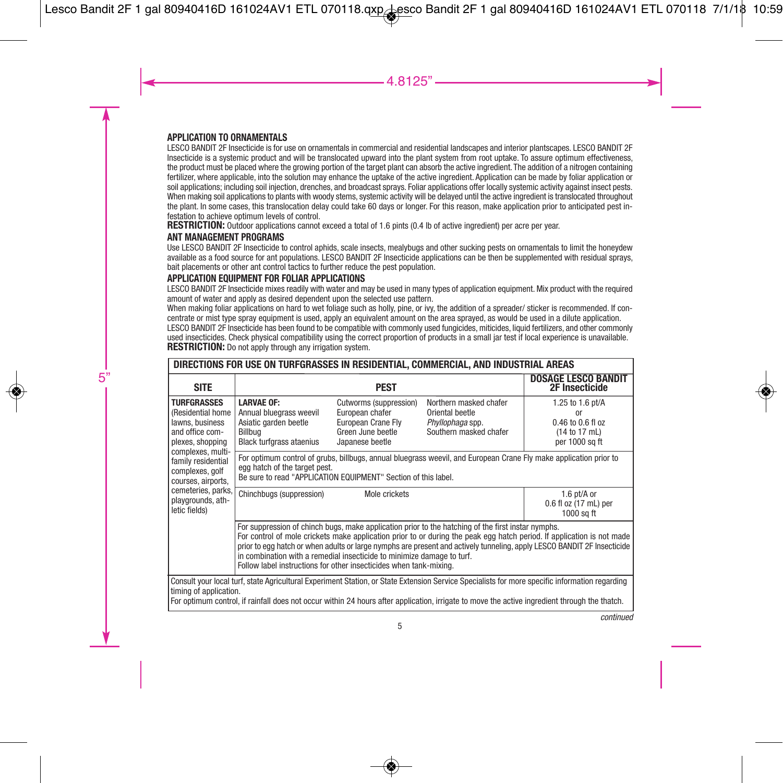### **APPLICATION TO ORNAMENTALS**

LESCO BANDIT 2F Insecticide is for use on ornamentals in commercial and residential landscapes and interior plantscapes. LESCO BANDIT 2F Insecticide is a systemic product and will be translocated upward into the plant system from root uptake. To assure optimum effectiveness, the product must be placed where the growing portion of the target plant can absorb the active ingredient. The addition of a nitrogen containing fertilizer, where applicable, into the solution may enhance the uptake of the active ingredient. Application can be made by foliar application or soil applications; including soil injection, drenches, and broadcast sprays. Foliar applications offer locally systemic activity against insect pests. When making soil applications to plants with woody stems, systemic activity will be delayed until the active ingredient is translocated throughout the plant. In some cases, this translocation delay could take 60 days or longer. For this reason, make application prior to anticipated pest infestation to achieve optimum levels of control

**RESTRICTION:** Outdoor applications cannot exceed a total of 1.6 pints (0.4 lb of active ingredient) per acre per year.

### **ANT MANAGEMENT PROGRAMS**

Use LESCO BANDIT 2F Insecticide to control aphids, scale insects, mealybugs and other sucking pests on ornamentals to limit the honeydew available as a food source for ant populations. LESCO BANDIT 2F Insecticide applications can be then be supplemented with residual sprays, bait placements or other ant control tactics to further reduce the pest population.

### **APPLICATION EQUIPMENT FOR FOLIAR APPLICATIONS**

LESCO BANDIT 2F Insecticide mixes readily with water and may be used in many types of application equipment. Mix product with the required amount of water and apply as desired dependent upon the selected use pattern.

When making foliar applications on hard to wet foliage such as holly, pine, or ivy, the addition of a spreader/ sticker is recommended. If concentrate or mist type spray equipment is used, apply an equivalent amount on the area sprayed, as would be used in a dilute application. LESCO BANDIT 2F Insecticide has been found to be compatible with commonly used fungicides, miticides, liquid fertilizers, and other commonly used insecticides. Check physical compatibility using the correct proportion of products in a small jar test if local experience is unavailable. **RESTRICTION:** Do not apply through any irrigation system.

| DIRECTIONS FOR USE ON TURFGRASSES IN RESIDENTIAL, COMMERCIAL, AND INDUSTRIAL AREAS                                                                                                                                                                |                                                                                                                                                                                                                                                                                                                                                         |                                                                                                         |                                                                                                                                               |                                                                                                                                                |
|---------------------------------------------------------------------------------------------------------------------------------------------------------------------------------------------------------------------------------------------------|---------------------------------------------------------------------------------------------------------------------------------------------------------------------------------------------------------------------------------------------------------------------------------------------------------------------------------------------------------|---------------------------------------------------------------------------------------------------------|-----------------------------------------------------------------------------------------------------------------------------------------------|------------------------------------------------------------------------------------------------------------------------------------------------|
| <b>SITE</b>                                                                                                                                                                                                                                       |                                                                                                                                                                                                                                                                                                                                                         | <b>PEST</b>                                                                                             |                                                                                                                                               | <b>DOSAGE LESCO BANDIT</b><br><b>2F Insecticide</b>                                                                                            |
| <b>TURFGRASSES</b><br>(Residential home<br>lawns, business<br>and office com-<br>plexes, shopping<br>complexes, multi-<br>family residential<br>complexes, golf<br>courses, airports,<br>cemeteries, parks,<br>playgrounds, ath-<br>letic fields) | <b>LARVAE OF:</b><br>Annual bluegrass weevil<br>Asiatic garden beetle<br>Billbua<br><b>Black turfgrass ataenius</b>                                                                                                                                                                                                                                     | Cutworms (suppression)<br>European chafer<br>European Crane Fly<br>Green June beetle<br>Japanese beetle | Northern masked chafer<br>Oriental beetle<br>Phyllophaga spp.<br>Southern masked chafer                                                       | 1.25 to 1.6 pt/A<br>or<br>0.46 to 0.6 fl oz<br>(14 to 17 mL)<br>per 1000 sq ft                                                                 |
|                                                                                                                                                                                                                                                   | For optimum control of grubs, billbugs, annual bluegrass weevil, and European Crane Fly make application prior to<br>egg hatch of the target pest.<br>Be sure to read "APPLICATION EQUIPMENT" Section of this label.                                                                                                                                    |                                                                                                         |                                                                                                                                               |                                                                                                                                                |
|                                                                                                                                                                                                                                                   | Chinchbugs (suppression)                                                                                                                                                                                                                                                                                                                                | Mole crickets                                                                                           |                                                                                                                                               | 1.6 pt/A or<br>0.6 fl oz (17 mL) per<br>1000 sa ft                                                                                             |
|                                                                                                                                                                                                                                                   | For suppression of chinch bugs, make application prior to the hatching of the first instar nymphs.<br>For control of mole crickets make application prior to or during the peak egg hatch period. If application is not made<br>prior to egg hatch or when adults or large nymphs are present and actively tunneling, apply LESCO BANDIT 2F Insecticide |                                                                                                         |                                                                                                                                               |                                                                                                                                                |
| timing of application.                                                                                                                                                                                                                            |                                                                                                                                                                                                                                                                                                                                                         |                                                                                                         | For optimum control, if rainfall does not occur within 24 hours after application, irrigate to move the active ingredient through the thatch. | Consult your local turf, state Agricultural Experiment Station, or State Extension Service Specialists for more specific information regarding |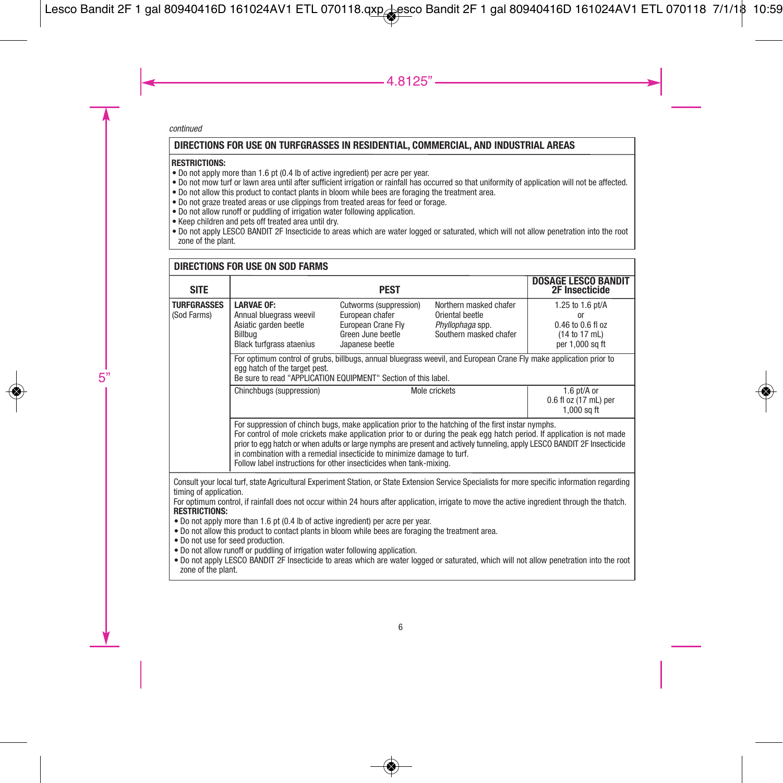### **DIRECTIONS FOR USE ON TURFGRASSES IN RESIDENTIAL, COMMERCIAL, AND INDUSTRIAL AREAS**

#### **RESTRICTIONS:**

- Do not apply more than 1.6 pt (0.4 lb of active ingredient) per acre per year.
- Do not mow turf or lawn area until after sufficient irrigation or rainfall has occurred so that uniformity of application will not be affected.
- Do not allow this product to contact plants in bloom while bees are foraging the treatment area.
- Do not graze treated areas or use clippings from treated areas for feed or forage.
- Do not allow runoff or puddling of irrigation water following application.
- Keep children and pets off treated area until dry.
- Do not apply LESCO BANDIT 2F Insecticide to areas which are water logged or saturated, which will not allow penetration into the root zone of the plant.

#### **TURFGRASSES** (Sod Farms) **LARVAE OF:** Annual bluegrass weevil Asiatic garden beetle Billbug Black turfgrass ataenius Cutworms (suppression) European chafer European Crane Fly Green June beetle Japanese beetle Mole crickets 1.25 to 1.6 pt/A or 0.46 to 0.6 fl oz (14 to 17 mL) per 1,000 sq ft For optimum control of grubs, billbugs, annual bluegrass weevil, and European Crane Fly make application prior to egg hatch of the target pest. Be sure to read "APPLICATION EQUIPMENT" Section of this label. Chinchbugs (suppression) The Chinchbugs (suppression) and the Mole crickets and the 1.6 pt/A or 0.6 fl oz (17 mL) per  $1.000$  sq ft For suppression of chinch bugs, make application prior to the hatching of the first instar nymphs. For control of mole crickets make application prior to or during the peak egg hatch period. If application is not made prior to egg hatch or when adults or large nymphs are present and actively tunneling, apply LESCO BANDIT 2F Insecticide in combination with a remedial insecticide to minimize damage to turf. Follow label instructions for other insecticides when tank-mixing. **DIRECTIONS FOR USE ON SOD FARMS PEST DOSAGE LESCO BANDIT 2F Insecticide** Northern masked chafer Oriental beetle *Phyllophaga* spp. Southern masked chafer **SITE** Consult your local turf, state Agricultural Experiment Station, or State Extension Service Specialists for more specific information regarding timing of application. For optimum control, if rainfall does not occur within 24 hours after application, irrigate to move the active ingredient through the thatch. **RESTRICTIONS:** • Do not apply more than 1.6 pt (0.4 lb of active ingredient) per acre per year. • Do not allow this product to contact plants in bloom while bees are foraging the treatment area. • Do not use for seed production. • Do not allow runoff or puddling of irrigation water following application. • Do not apply LESCO BANDIT 2F Insecticide to areas which are water logged or saturated, which will not allow penetration into the root zone of the plant.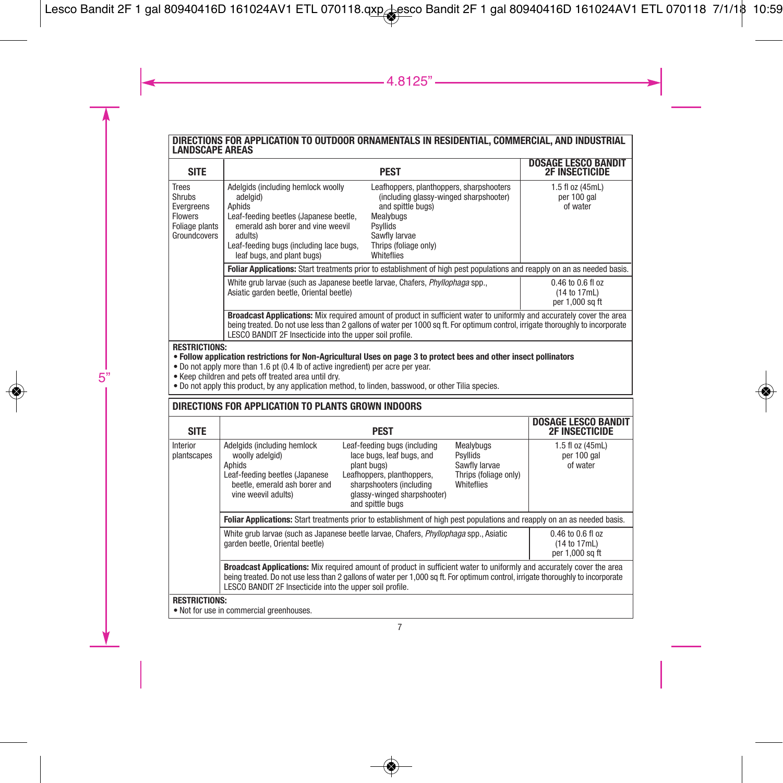# **DIRECTIONS FOR APPLICATION TO OUTDOOR ORNAMENTALS IN RESIDENTIAL, COMMERCIAL, AND INDUSTRIAL LANDSCAPE AREAS**

| <b>SITE</b>                                                                                                                                                                                                                                                                                                                                                                                    |                                                                                                                                                                                                                                                                                                                                                                                                                                | <b>PEST</b>                                                                                                                                                                           |                                                                               | <b>DOSAGE LESCO BANDIT</b><br><b>2F INSECTICIDE</b>      |  |
|------------------------------------------------------------------------------------------------------------------------------------------------------------------------------------------------------------------------------------------------------------------------------------------------------------------------------------------------------------------------------------------------|--------------------------------------------------------------------------------------------------------------------------------------------------------------------------------------------------------------------------------------------------------------------------------------------------------------------------------------------------------------------------------------------------------------------------------|---------------------------------------------------------------------------------------------------------------------------------------------------------------------------------------|-------------------------------------------------------------------------------|----------------------------------------------------------|--|
| <b>Trees</b><br>Shrubs<br>Evergreens<br><b>Flowers</b><br>Foliage plants<br>Groundcovers                                                                                                                                                                                                                                                                                                       | Adelgids (including hemlock woolly<br>Leafhoppers, planthoppers, sharpshooters<br>(including glassy-winged sharpshooter)<br>adelgid)<br>and spittle bugs)<br>Aphids<br>Leaf-feeding beetles (Japanese beetle,<br>Mealybugs<br>emerald ash borer and vine weevil<br><b>Psyllids</b><br>adults)<br>Sawfly larvae<br>Leaf-feeding bugs (including lace bugs,<br>Thrips (foliage only)<br>Whiteflies<br>leaf bugs, and plant bugs) |                                                                                                                                                                                       |                                                                               | 1.5 fl oz (45mL)<br>per 100 gal<br>of water              |  |
|                                                                                                                                                                                                                                                                                                                                                                                                | Foliar Applications: Start treatments prior to establishment of high pest populations and reapply on an as needed basis.                                                                                                                                                                                                                                                                                                       |                                                                                                                                                                                       |                                                                               |                                                          |  |
|                                                                                                                                                                                                                                                                                                                                                                                                | White grub larvae (such as Japanese beetle larvae, Chafers, Phyllophaga spp.,<br>Asiatic garden beetle, Oriental beetle)                                                                                                                                                                                                                                                                                                       | 0.46 to 0.6 fl oz<br>(14 to 17mL)<br>per 1,000 sq ft                                                                                                                                  |                                                                               |                                                          |  |
|                                                                                                                                                                                                                                                                                                                                                                                                | Broadcast Applications: Mix required amount of product in sufficient water to uniformly and accurately cover the area<br>being treated. Do not use less than 2 gallons of water per 1000 sq ft. For optimum control, irrigate thoroughly to incorporate<br>LESCO BANDIT 2F Insecticide into the upper soil profile.                                                                                                            |                                                                                                                                                                                       |                                                                               |                                                          |  |
| <b>RESTRICTIONS:</b><br>. Follow application restrictions for Non-Agricultural Uses on page 3 to protect bees and other insect pollinators<br>. Do not apply more than 1.6 pt (0.4 lb of active ingredient) per acre per year.<br>. Keep children and pets off treated area until drv.<br>. Do not apply this product, by any application method, to linden, basswood, or other Tilia species. |                                                                                                                                                                                                                                                                                                                                                                                                                                |                                                                                                                                                                                       |                                                                               |                                                          |  |
|                                                                                                                                                                                                                                                                                                                                                                                                | DIRECTIONS FOR APPLICATION TO PLANTS GROWN INDOORS                                                                                                                                                                                                                                                                                                                                                                             |                                                                                                                                                                                       |                                                                               |                                                          |  |
| <b>SITE</b>                                                                                                                                                                                                                                                                                                                                                                                    |                                                                                                                                                                                                                                                                                                                                                                                                                                | <b>PEST</b>                                                                                                                                                                           |                                                                               | <b>DOSAGE LESCO BANDIT</b><br><b>2F INSECTICIDE</b>      |  |
| Interior<br>plantscapes                                                                                                                                                                                                                                                                                                                                                                        | Adelgids (including hemlock<br>woolly adelgid)<br>Aphids<br>Leaf-feeding beetles (Japanese<br>beetle, emerald ash borer and<br>vine weevil adults)                                                                                                                                                                                                                                                                             | Leaf-feeding bugs (including<br>lace bugs, leaf bugs, and<br>plant bugs)<br>Leafhoppers, planthoppers,<br>sharpshooters (including<br>glassy-winged sharpshooter)<br>and spittle bugs | Mealybugs<br>Psyllids<br>Sawfly larvae<br>Thrips (foliage only)<br>Whiteflies | 1.5 fl oz (45mL)<br>per 100 gal<br>of water              |  |
|                                                                                                                                                                                                                                                                                                                                                                                                | Foliar Applications: Start treatments prior to establishment of high pest populations and reapply on an as needed basis.                                                                                                                                                                                                                                                                                                       |                                                                                                                                                                                       |                                                                               |                                                          |  |
|                                                                                                                                                                                                                                                                                                                                                                                                | White grub larvae (such as Japanese beetle larvae, Chafers, Phyllophaga spp., Asiatic<br>garden beetle, Oriental beetle)                                                                                                                                                                                                                                                                                                       |                                                                                                                                                                                       |                                                                               | $0.46$ to $0.6$ fl oz<br>(14 to 17mL)<br>per 1.000 sq ft |  |
|                                                                                                                                                                                                                                                                                                                                                                                                | Broadcast Applications: Mix required amount of product in sufficient water to uniformly and accurately cover the area<br>being treated. Do not use less than 2 gallons of water per 1,000 sq ft. For optimum control, irrigate thoroughly to incorporate<br>LESCO BANDIT 2F Insecticide into the upper soil profile.                                                                                                           |                                                                                                                                                                                       |                                                                               |                                                          |  |
| <b>RESTRICTIONS:</b>                                                                                                                                                                                                                                                                                                                                                                           | . Not for use in commercial greenhouses.                                                                                                                                                                                                                                                                                                                                                                                       |                                                                                                                                                                                       |                                                                               |                                                          |  |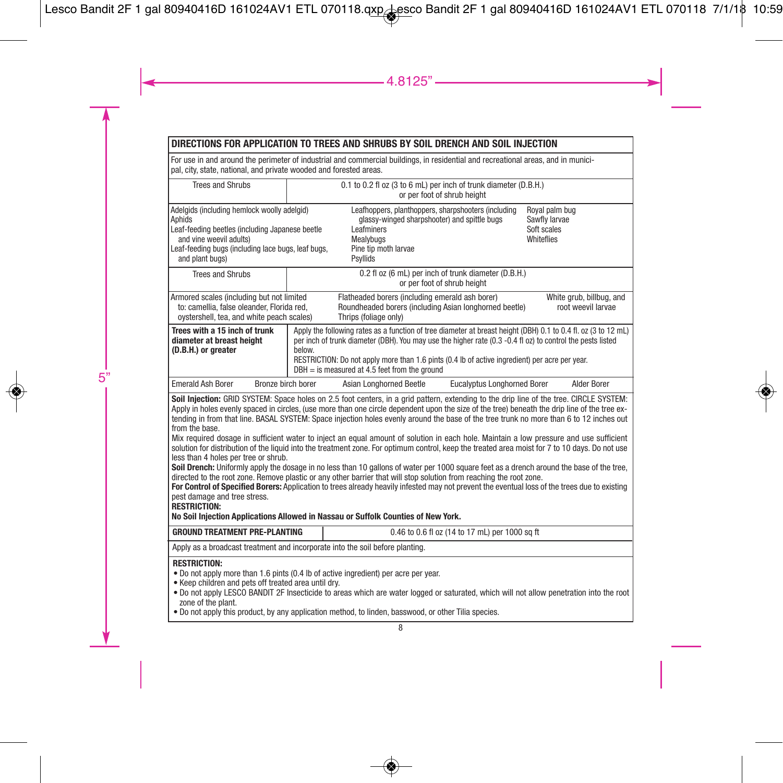### **DIRECTIONS FOR APPLICATION TO TREES AND SHRUBS BY SOIL DRENCH AND SOIL INJECTION**

For use in and around the perimeter of industrial and commercial buildings, in residential and recreational areas, and in municipal, city, state, national, and private wooded and forested areas.

| <b>Trees and Shrubs</b>                                                                                                                                                                                                                                                                                                                                                                                                                                                                                                                                                                                                                                                                                                                                                                                                                                                                                                                                                                                                                                                                                                                                                                                                                                                                                                                                    | 0.1 to 0.2 fl oz (3 to 6 mL) per inch of trunk diameter (D.B.H.)<br>or per foot of shrub height |                                                                                                                                                                                                                                                                                                                                                                                   |                                                |                                                              |
|------------------------------------------------------------------------------------------------------------------------------------------------------------------------------------------------------------------------------------------------------------------------------------------------------------------------------------------------------------------------------------------------------------------------------------------------------------------------------------------------------------------------------------------------------------------------------------------------------------------------------------------------------------------------------------------------------------------------------------------------------------------------------------------------------------------------------------------------------------------------------------------------------------------------------------------------------------------------------------------------------------------------------------------------------------------------------------------------------------------------------------------------------------------------------------------------------------------------------------------------------------------------------------------------------------------------------------------------------------|-------------------------------------------------------------------------------------------------|-----------------------------------------------------------------------------------------------------------------------------------------------------------------------------------------------------------------------------------------------------------------------------------------------------------------------------------------------------------------------------------|------------------------------------------------|--------------------------------------------------------------|
| Adelgids (including hemlock woolly adelgid)<br>Aphids<br>Leaf-feeding beetles (including Japanese beetle<br>and vine weevil adults)<br>Leaf-feeding bugs (including lace bugs, leaf bugs,<br>and plant bugs)                                                                                                                                                                                                                                                                                                                                                                                                                                                                                                                                                                                                                                                                                                                                                                                                                                                                                                                                                                                                                                                                                                                                               |                                                                                                 | Leafhoppers, planthoppers, sharpshooters (including<br>glassy-winged sharpshooter) and spittle bugs<br>Leafminers<br><b>Mealvbugs</b><br>Pine tip moth larvae<br>Psyllids                                                                                                                                                                                                         |                                                | Royal palm bug<br>Sawfly larvae<br>Soft scales<br>Whiteflies |
| <b>Trees and Shrubs</b>                                                                                                                                                                                                                                                                                                                                                                                                                                                                                                                                                                                                                                                                                                                                                                                                                                                                                                                                                                                                                                                                                                                                                                                                                                                                                                                                    |                                                                                                 | 0.2 fl oz (6 mL) per inch of trunk diameter (D.B.H.)                                                                                                                                                                                                                                                                                                                              | or per foot of shrub height                    |                                                              |
| Armored scales (including but not limited<br>to: camellia, false oleander, Florida red,<br>ovstershell, tea, and white peach scales)                                                                                                                                                                                                                                                                                                                                                                                                                                                                                                                                                                                                                                                                                                                                                                                                                                                                                                                                                                                                                                                                                                                                                                                                                       |                                                                                                 | Flatheaded borers (including emerald ash borer)<br>Roundheaded borers (including Asian longhorned beetle)<br>Thrips (foliage only)                                                                                                                                                                                                                                                |                                                | White grub, billbug, and<br>root weevil larvae               |
| Trees with a 15 inch of trunk<br>diameter at breast height<br>(D.B.H.) or greater                                                                                                                                                                                                                                                                                                                                                                                                                                                                                                                                                                                                                                                                                                                                                                                                                                                                                                                                                                                                                                                                                                                                                                                                                                                                          | below.                                                                                          | Apply the following rates as a function of tree diameter at breast height (DBH) 0.1 to 0.4 fl. oz (3 to 12 mL)<br>per inch of trunk diameter (DBH). You may use the higher rate (0.3 -0.4 fl oz) to control the pests listed<br>RESTRICTION: Do not apply more than 1.6 pints (0.4 lb of active ingredient) per acre per year.<br>$DBH =$ is measured at 4.5 feet from the ground |                                                |                                                              |
| <b>Emerald Ash Borer</b><br>Bronze birch borer                                                                                                                                                                                                                                                                                                                                                                                                                                                                                                                                                                                                                                                                                                                                                                                                                                                                                                                                                                                                                                                                                                                                                                                                                                                                                                             |                                                                                                 | Asian Longhorned Beetle                                                                                                                                                                                                                                                                                                                                                           | <b>Eucalvotus Longhorned Borer</b>             | Alder Borer                                                  |
| Soil Injection: GRID SYSTEM: Space holes on 2.5 foot centers, in a grid pattern, extending to the drip line of the tree. CIRCLE SYSTEM:<br>Apply in holes evenly spaced in circles, (use more than one circle dependent upon the size of the tree) beneath the drip line of the tree ex-<br>tending in from that line. BASAL SYSTEM: Space injection holes evenly around the base of the tree trunk no more than 6 to 12 inches out<br>from the base.<br>Mix required dosage in sufficient water to inject an equal amount of solution in each hole. Maintain a low pressure and use sufficient<br>solution for distribution of the liquid into the treatment zone. For optimum control, keep the treated area moist for 7 to 10 days. Do not use<br>less than 4 holes per tree or shrub.<br>Soil Drench: Uniformly apply the dosage in no less than 10 gallons of water per 1000 square feet as a drench around the base of the tree,<br>directed to the root zone. Remove plastic or any other barrier that will stop solution from reaching the root zone.<br>For Control of Specified Borers: Application to trees already heavily infested may not prevent the eventual loss of the trees due to existing<br>pest damage and tree stress.<br><b>RESTRICTION:</b><br>No Soil Injection Applications Allowed in Nassau or Suffolk Counties of New York. |                                                                                                 |                                                                                                                                                                                                                                                                                                                                                                                   |                                                |                                                              |
| <b>GROUND TREATMENT PRE-PLANTING</b>                                                                                                                                                                                                                                                                                                                                                                                                                                                                                                                                                                                                                                                                                                                                                                                                                                                                                                                                                                                                                                                                                                                                                                                                                                                                                                                       |                                                                                                 |                                                                                                                                                                                                                                                                                                                                                                                   | 0.46 to 0.6 fl oz (14 to 17 mL) per 1000 sq ft |                                                              |
| Apply as a broadcast treatment and incorporate into the soil before planting.                                                                                                                                                                                                                                                                                                                                                                                                                                                                                                                                                                                                                                                                                                                                                                                                                                                                                                                                                                                                                                                                                                                                                                                                                                                                              |                                                                                                 |                                                                                                                                                                                                                                                                                                                                                                                   |                                                |                                                              |
| <b>RESTRICTION:</b><br>. Do not apply more than 1.6 pints (0.4 lb of active ingredient) per acre per year.<br>. Keep children and pets off treated area until dry.<br>. Do not apply LESCO BANDIT 2F Insecticide to areas which are water logged or saturated, which will not allow penetration into the root<br>zone of the plant.<br>• Do not apply this product, by any application method, to linden, basswood, or other Tilia species.                                                                                                                                                                                                                                                                                                                                                                                                                                                                                                                                                                                                                                                                                                                                                                                                                                                                                                                |                                                                                                 |                                                                                                                                                                                                                                                                                                                                                                                   |                                                |                                                              |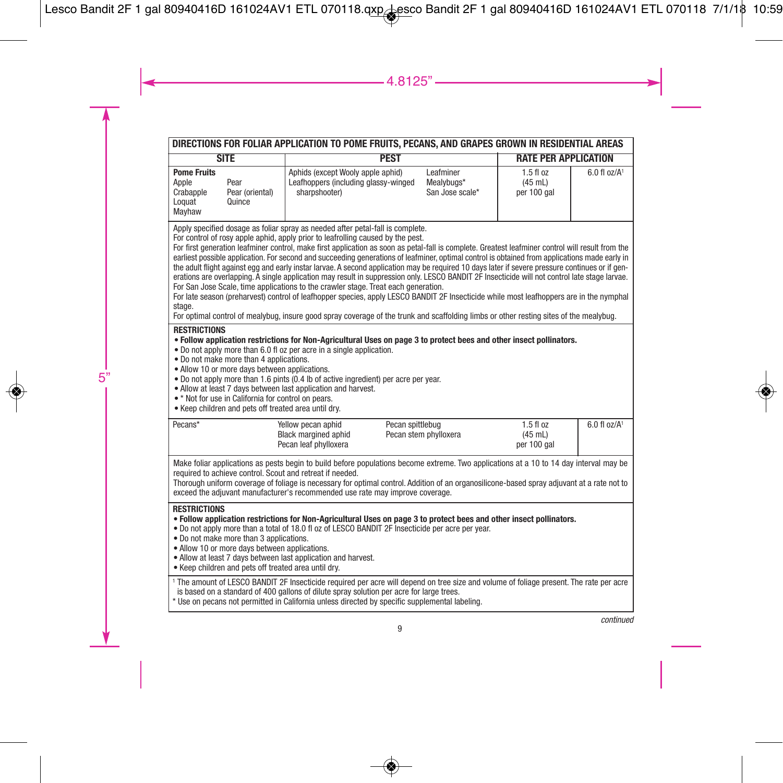| DIRECTIONS FOR FOLIAR APPLICATION TO POME FRUITS, PECANS, AND GRAPES GROWN IN RESIDENTIAL AREAS                                                                                                                                                                                                                                                                                                                                                                                                                                                                                                                                                                                                                                                                                                                                                                                                                                                                                                                                                                                                                                                                     |                                                                                                |                                            |                                           |                              |  |
|---------------------------------------------------------------------------------------------------------------------------------------------------------------------------------------------------------------------------------------------------------------------------------------------------------------------------------------------------------------------------------------------------------------------------------------------------------------------------------------------------------------------------------------------------------------------------------------------------------------------------------------------------------------------------------------------------------------------------------------------------------------------------------------------------------------------------------------------------------------------------------------------------------------------------------------------------------------------------------------------------------------------------------------------------------------------------------------------------------------------------------------------------------------------|------------------------------------------------------------------------------------------------|--------------------------------------------|-------------------------------------------|------------------------------|--|
| <b>SITE</b>                                                                                                                                                                                                                                                                                                                                                                                                                                                                                                                                                                                                                                                                                                                                                                                                                                                                                                                                                                                                                                                                                                                                                         | <b>PEST</b>                                                                                    |                                            | <b>RATE PER APPLICATION</b>               |                              |  |
| <b>Pome Fruits</b><br>Apple<br>Pear<br>Crabapple<br>Pear (oriental)<br>Loquat<br>Quince<br>Mayhaw                                                                                                                                                                                                                                                                                                                                                                                                                                                                                                                                                                                                                                                                                                                                                                                                                                                                                                                                                                                                                                                                   | Aphids (except Wooly apple aphid)<br>Leafhoppers (including glassy-winged<br>sharpshooter)     | Leafminer<br>Mealvbugs*<br>San Jose scale* | $1.5f1$ oz<br>$(45$ mL)<br>per 100 gal    | $6.0$ fl $oz/A$ <sup>1</sup> |  |
| Apply specified dosage as foliar spray as needed after petal-fall is complete.<br>For control of rosy apple aphid, apply prior to leafrolling caused by the pest.<br>For first generation leafminer control, make first application as soon as petal-fall is complete. Greatest leafminer control will result from the<br>earliest possible application. For second and succeeding generations of leafminer, optimal control is obtained from applications made early in<br>the adult flight against egg and early instar larvae. A second application may be required 10 days later if severe pressure continues or if gen-<br>erations are overlapping. A single application may result in suppression only. LESCO BANDIT 2F Insecticide will not control late stage larvae.<br>For San Jose Scale, time applications to the crawler stage. Treat each generation.<br>For late season (preharvest) control of leafhopper species, apply LESCO BANDIT 2F Insecticide while most leafhoppers are in the nymphal<br>stage.<br>For optimal control of mealybug, insure good spray coverage of the trunk and scaffolding limbs or other resting sites of the mealybug. |                                                                                                |                                            |                                           |                              |  |
| <b>RESTRICTIONS</b><br>. Follow application restrictions for Non-Agricultural Uses on page 3 to protect bees and other insect pollinators.<br>• Do not apply more than 6.0 fl oz per acre in a single application.<br>. Do not make more than 4 applications.<br>• Allow 10 or more days between applications.<br>. Do not apply more than 1.6 pints (0.4 lb of active ingredient) per acre per year.<br>. Allow at least 7 days between last application and harvest.<br>• * Not for use in California for control on pears.<br>. Keep children and pets off treated area until dry.                                                                                                                                                                                                                                                                                                                                                                                                                                                                                                                                                                               |                                                                                                |                                            |                                           |                              |  |
| Pecans*                                                                                                                                                                                                                                                                                                                                                                                                                                                                                                                                                                                                                                                                                                                                                                                                                                                                                                                                                                                                                                                                                                                                                             | Yellow pecan aphid<br>Pecan spittlebug<br><b>Black margined aphid</b><br>Pecan leaf phylloxera | Pecan stem phylloxera                      | $1.5$ fl $oz$<br>$(45$ mL)<br>per 100 gal | $6.0$ fl $oz/A1$             |  |
| Make foliar applications as pests begin to build before populations become extreme. Two applications at a 10 to 14 day interval may be<br>required to achieve control. Scout and retreat if needed.<br>Thorough uniform coverage of foliage is necessary for optimal control. Addition of an organosilicone-based spray adjuvant at a rate not to<br>exceed the adjuvant manufacturer's recommended use rate may improve coverage.                                                                                                                                                                                                                                                                                                                                                                                                                                                                                                                                                                                                                                                                                                                                  |                                                                                                |                                            |                                           |                              |  |
| <b>RESTRICTIONS</b><br>. Follow application restrictions for Non-Agricultural Uses on page 3 to protect bees and other insect pollinators.<br>. Do not apply more than a total of 18.0 fl oz of LESCO BANDIT 2F Insecticide per acre per year.<br>. Do not make more than 3 applications.<br>· Allow 10 or more days between applications.<br>. Allow at least 7 days between last application and harvest.<br>. Keep children and pets off treated area until dry.                                                                                                                                                                                                                                                                                                                                                                                                                                                                                                                                                                                                                                                                                                 |                                                                                                |                                            |                                           |                              |  |
| <sup>1</sup> The amount of LESCO BANDIT 2F Insecticide required per acre will depend on tree size and volume of foliage present. The rate per acre<br>is based on a standard of 400 gallons of dilute spray solution per acre for large trees.<br>* Use on pecans not permitted in California unless directed by specific supplemental labeling.                                                                                                                                                                                                                                                                                                                                                                                                                                                                                                                                                                                                                                                                                                                                                                                                                    |                                                                                                |                                            |                                           |                              |  |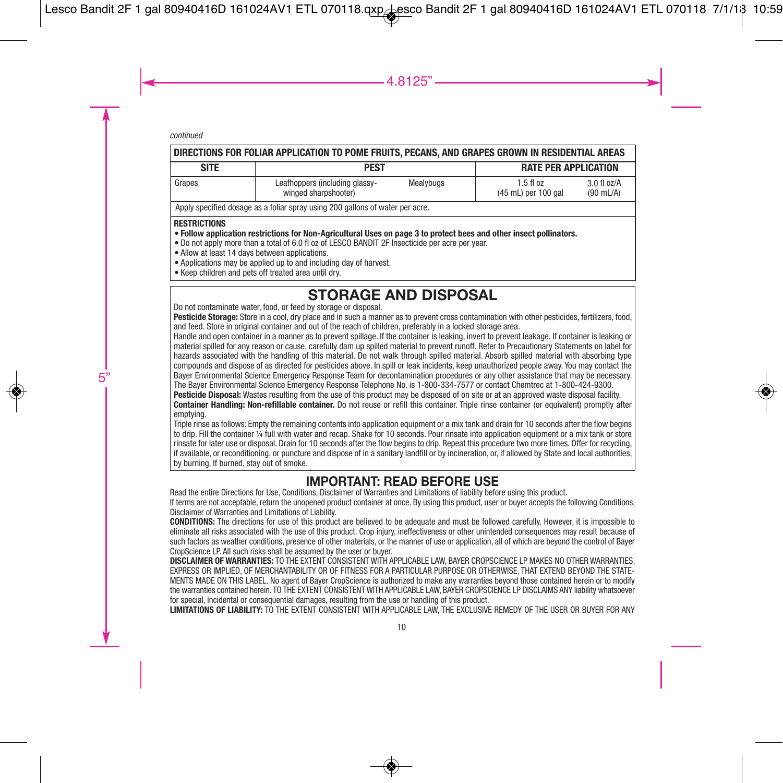| DIRECTIONS FOR FOLIAR APPLICATION TO POME FRUITS. PECANS. AND GRAPES GROWN IN RESIDENTIAL AREAS |                                                        |           |                                      |                                        |  |
|-------------------------------------------------------------------------------------------------|--------------------------------------------------------|-----------|--------------------------------------|----------------------------------------|--|
| <b>SITE</b>                                                                                     | PEST                                                   |           | <b>RATE PER APPLICATION</b>          |                                        |  |
| I Grapes                                                                                        | Leafhoppers (including glassy-<br>winged sharpshooter) | Mealybugs | $1.5$ fl $oz$<br>(45 mL) per 100 gal | $3.0$ fl $oz/A$<br>$(90 \text{ mL/A})$ |  |
| Apply specified dosage as a foliar spray using 200 gallons of water per acre.                   |                                                        |           |                                      |                                        |  |

### **RESTRICTIONS**

- Follow application restrictions for Non-Agricultural Uses on page 3 to protect bees and other insect pollinators.
- Do not apply more than a total of 6.0 fl oz of LESCO BANDIT 2F Insecticide per acre per year.
- Allow at least 14 days between applications.
- Applications may be applied up to and including day of harvest.
- Keep children and pets off treated area until dry.

# **STORAGE AND DISPOSAL** Do not contaminate water, food, or feed by storage or disposal.

**Pesticide Storage:** Store in a cool, dry place and in such a manner as to prevent cross contamination with other pesticides, fertilizers, food, and feed. Store in original container and out of the reach of children, preferably in a locked storage area.

Handle and open container in a manner as to prevent spillage. If the container is leaking, invert to prevent leakage. If container is leaking or material spilled for any reason or cause, carefully dam up spilled material to prevent runoff. Refer to Precautionary Statements on label for hazards associated with the handling of this material. Do not walk through spilled material. Absorb spilled material with absorbing type compounds and dispose of as directed for pesticides above. In spill or leak incidents, keep unauthorized people away. You may contact the Bayer Environmental Science Emergency Response Team for decontamination procedures or any other assistance that may be necessary. The Bayer Environmental Science Emergency Response Telephone No. is 1-800-334-7577 or contact Chemtrec at 1-800-424-9300.

Pesticide Disposal: Wastes resulting from the use of this product may be disposed of on site or at an approved waste disposal facility. **Container Handling: Non-refillable container.** Do not reuse or refill this container. Triple rinse container (or equivalent) promptly after emptying.

Triple rinse as follows: Empty the remaining contents into application equipment or a mix tank and drain for 10 seconds after the flow begins to drip. Fill the container ¼ full with water and recap. Shake for 10 seconds. Pour rinsate into application equipment or a mix tank or store rinsate for later use or disposal. Drain for 10 seconds after the flow begins to drip. Repeat this procedure two more times. Offer for recycling, if available, or reconditioning, or puncture and dispose of in a sanitary landfill or by incineration, or, if allowed by State and local authorities, by burning. If burned, stay out of smoke.

### **IMPORTANT: READ BEFORE USE**

Read the entire Directions for Use, Conditions, Disclaimer of Warranties and Limitations of liability before using this product. If terms are not acceptable, return the unopened product container at once. By using this product, user or buyer accepts the following Conditions, Disclaimer of Warranties and Limitations of Liability.

**CONDITIONS:** The directions for use of this product are believed to be adequate and must be followed carefully. However, it is impossible to eliminate all risks associated with the use of this product. Crop injury, ineffectiveness or other unintended consequences may result because of such factors as weather conditions, presence of other materials, or the manner of use or application, all of which are beyond the control of Bayer CropScience LP. All such risks shall be assumed by the user or buyer.

**DISCLAIMER OF WARRANTIES:** TO THE EXTENT CONSISTENT WITH APPLICABLE LAW, BAYER CROPSCIENCE LP MAKES NO OTHER WARRANTIES, EXPRESS OR IMPLIED, OF MERCHANTABILITY OR OF FITNESS FOR A PARTICULAR PURPOSE OR OTHERWISE, THAT EXTEND BEYOND THE STATE-MENTS MADE ON THIS LABEL. No agent of Bayer CropScience is authorized to make any warranties beyond those contained herein or to modify the warranties contained herein. TO THE EXTENT CONSISTENT WITH APPLICABLE LAW, BAYER CROPSCIENCE LP DISCLAIMS ANY liability whatsoever for special, incidental or consequential damages, resulting from the use or handling of this product.

**LIMITATIONS OF LIABILITY:** TO THE EXTENT CONSISTENT WITH APPLICABLE LAW, THE EXCLUSIVE REMEDY OF THE USER OR BUYER FOR ANY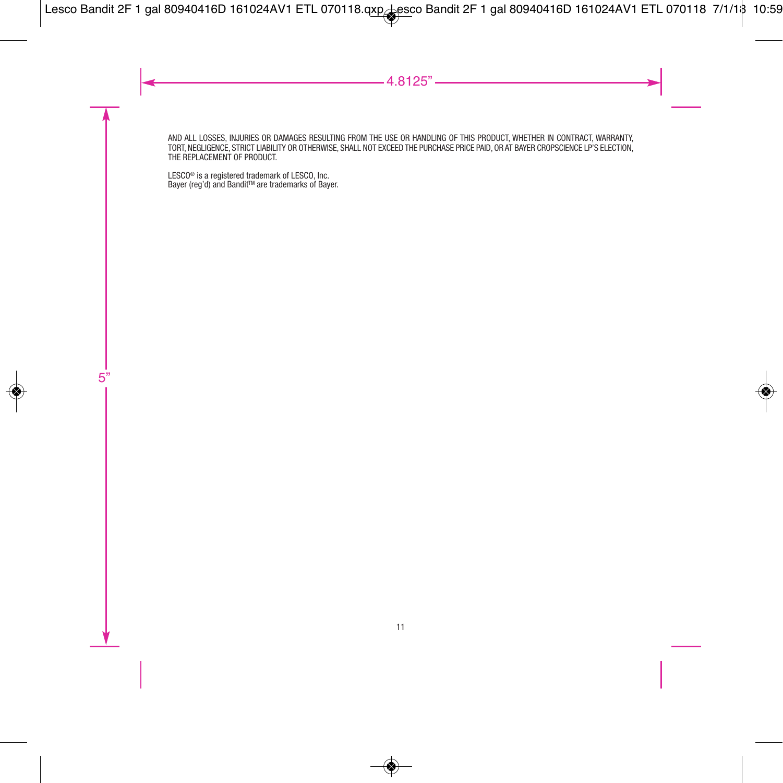AND ALL LOSSES, INJURIES OR DAMAGES RESULTING FROM THE USE OR HANDLING OF THIS PRODUCT, WHETHER IN CONTRACT, WARRANTY, TORT, NEGLIGENCE, STRICT LIABILITY OR OTHERWISE, SHALL NOT EXCEED THE PURCHASE PRICE PAID, OR AT BAYER CROPSCIENCE LP'S ELECTION, THE REPLACEMENT OF PRODUCT.

LESC0® is a registered trademark of LESCO, Inc.<br>Bayer (reg'd) and Bandit™ are trademarks of Bayer.